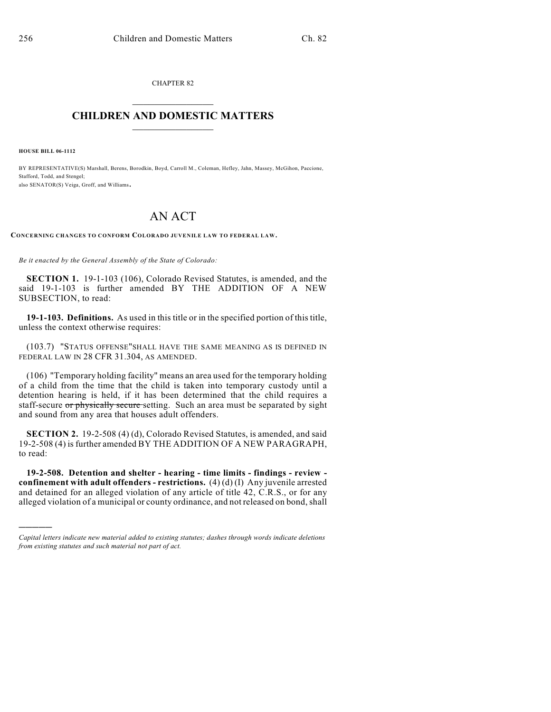CHAPTER 82  $\mathcal{L}_\text{max}$  . The set of the set of the set of the set of the set of the set of the set of the set of the set of the set of the set of the set of the set of the set of the set of the set of the set of the set of the set

## **CHILDREN AND DOMESTIC MATTERS**  $\_$

**HOUSE BILL 06-1112**

)))))

BY REPRESENTATIVE(S) Marshall, Berens, Borodkin, Boyd, Carroll M., Coleman, Hefley, Jahn, Massey, McGihon, Paccione, Stafford, Todd, and Stengel; also SENATOR(S) Veiga, Groff, and Williams.

## AN ACT

**CONCERNING CHANGES TO CONFORM COLORADO JUVENILE LAW TO FEDERAL LAW.**

*Be it enacted by the General Assembly of the State of Colorado:*

**SECTION 1.** 19-1-103 (106), Colorado Revised Statutes, is amended, and the said 19-1-103 is further amended BY THE ADDITION OF A NEW SUBSECTION, to read:

**19-1-103. Definitions.** As used in this title or in the specified portion of this title, unless the context otherwise requires:

(103.7) "STATUS OFFENSE"SHALL HAVE THE SAME MEANING AS IS DEFINED IN FEDERAL LAW IN 28 CFR 31.304, AS AMENDED.

(106) "Temporary holding facility" means an area used for the temporary holding of a child from the time that the child is taken into temporary custody until a detention hearing is held, if it has been determined that the child requires a staff-secure or physically secure setting. Such an area must be separated by sight and sound from any area that houses adult offenders.

**SECTION 2.** 19-2-508 (4) (d), Colorado Revised Statutes, is amended, and said 19-2-508 (4) is further amended BY THE ADDITION OF A NEW PARAGRAPH, to read:

**19-2-508. Detention and shelter - hearing - time limits - findings - review confinement with adult offenders - restrictions.** (4) (d) (I) Any juvenile arrested and detained for an alleged violation of any article of title 42, C.R.S., or for any alleged violation of a municipal or county ordinance, and not released on bond, shall

*Capital letters indicate new material added to existing statutes; dashes through words indicate deletions from existing statutes and such material not part of act.*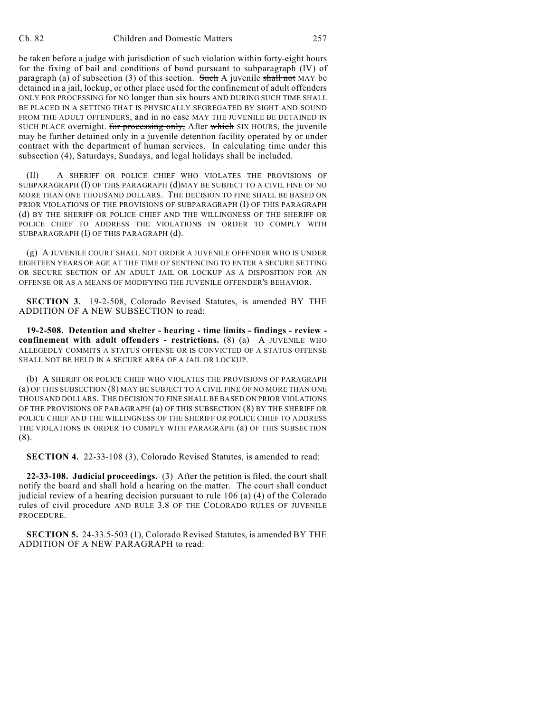be taken before a judge with jurisdiction of such violation within forty-eight hours for the fixing of bail and conditions of bond pursuant to subparagraph (IV) of paragraph (a) of subsection (3) of this section. Such A juvenile shall not MAY be detained in a jail, lockup, or other place used for the confinement of adult offenders ONLY FOR PROCESSING for NO longer than six hours AND DURING SUCH TIME SHALL BE PLACED IN A SETTING THAT IS PHYSICALLY SEGREGATED BY SIGHT AND SOUND FROM THE ADULT OFFENDERS, and in no case MAY THE JUVENILE BE DETAINED IN SUCH PLACE overnight. for processing only, After which SIX HOURS, the juvenile may be further detained only in a juvenile detention facility operated by or under contract with the department of human services. In calculating time under this subsection (4), Saturdays, Sundays, and legal holidays shall be included.

(II) A SHERIFF OR POLICE CHIEF WHO VIOLATES THE PROVISIONS OF SUBPARAGRAPH (I) OF THIS PARAGRAPH (d)MAY BE SUBJECT TO A CIVIL FINE OF NO MORE THAN ONE THOUSAND DOLLARS. THE DECISION TO FINE SHALL BE BASED ON PRIOR VIOLATIONS OF THE PROVISIONS OF SUBPARAGRAPH (I) OF THIS PARAGRAPH (d) BY THE SHERIFF OR POLICE CHIEF AND THE WILLINGNESS OF THE SHERIFF OR POLICE CHIEF TO ADDRESS THE VIOLATIONS IN ORDER TO COMPLY WITH SUBPARAGRAPH (I) OF THIS PARAGRAPH (d).

(g) A JUVENILE COURT SHALL NOT ORDER A JUVENILE OFFENDER WHO IS UNDER EIGHTEEN YEARS OF AGE AT THE TIME OF SENTENCING TO ENTER A SECURE SETTING OR SECURE SECTION OF AN ADULT JAIL OR LOCKUP AS A DISPOSITION FOR AN OFFENSE OR AS A MEANS OF MODIFYING THE JUVENILE OFFENDER'S BEHAVIOR.

**SECTION 3.** 19-2-508, Colorado Revised Statutes, is amended BY THE ADDITION OF A NEW SUBSECTION to read:

**19-2-508. Detention and shelter - hearing - time limits - findings - review confinement with adult offenders - restrictions.** (8) (a) A JUVENILE WHO ALLEGEDLY COMMITS A STATUS OFFENSE OR IS CONVICTED OF A STATUS OFFENSE SHALL NOT BE HELD IN A SECURE AREA OF A JAIL OR LOCKUP.

(b) A SHERIFF OR POLICE CHIEF WHO VIOLATES THE PROVISIONS OF PARAGRAPH (a) OF THIS SUBSECTION (8) MAY BE SUBJECT TO A CIVIL FINE OF NO MORE THAN ONE THOUSAND DOLLARS. THE DECISION TO FINE SHALL BE BASED ON PRIOR VIOLATIONS OF THE PROVISIONS OF PARAGRAPH (a) OF THIS SUBSECTION (8) BY THE SHERIFF OR POLICE CHIEF AND THE WILLINGNESS OF THE SHERIFF OR POLICE CHIEF TO ADDRESS THE VIOLATIONS IN ORDER TO COMPLY WITH PARAGRAPH (a) OF THIS SUBSECTION (8).

**SECTION 4.** 22-33-108 (3), Colorado Revised Statutes, is amended to read:

**22-33-108. Judicial proceedings.** (3) After the petition is filed, the court shall notify the board and shall hold a hearing on the matter. The court shall conduct judicial review of a hearing decision pursuant to rule 106 (a) (4) of the Colorado rules of civil procedure AND RULE 3.8 OF THE COLORADO RULES OF JUVENILE PROCEDURE.

**SECTION 5.** 24-33.5-503 (1), Colorado Revised Statutes, is amended BY THE ADDITION OF A NEW PARAGRAPH to read: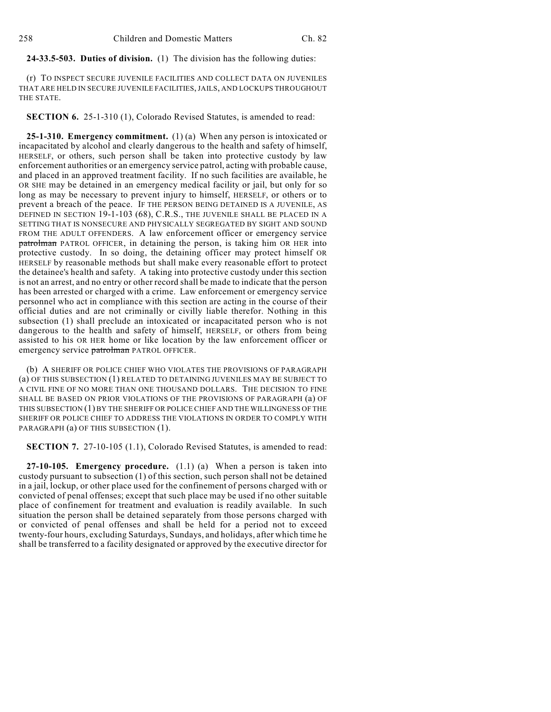**24-33.5-503. Duties of division.** (1) The division has the following duties:

(r) TO INSPECT SECURE JUVENILE FACILITIES AND COLLECT DATA ON JUVENILES THAT ARE HELD IN SECURE JUVENILE FACILITIES, JAILS, AND LOCKUPS THROUGHOUT THE STATE.

**SECTION 6.** 25-1-310 (1), Colorado Revised Statutes, is amended to read:

**25-1-310. Emergency commitment.** (1) (a) When any person is intoxicated or incapacitated by alcohol and clearly dangerous to the health and safety of himself, HERSELF, or others, such person shall be taken into protective custody by law enforcement authorities or an emergency service patrol, acting with probable cause, and placed in an approved treatment facility. If no such facilities are available, he OR SHE may be detained in an emergency medical facility or jail, but only for so long as may be necessary to prevent injury to himself, HERSELF, or others or to prevent a breach of the peace. IF THE PERSON BEING DETAINED IS A JUVENILE, AS DEFINED IN SECTION 19-1-103 (68), C.R.S., THE JUVENILE SHALL BE PLACED IN A SETTING THAT IS NONSECURE AND PHYSICALLY SEGREGATED BY SIGHT AND SOUND FROM THE ADULT OFFENDERS. A law enforcement officer or emergency service patrolman PATROL OFFICER, in detaining the person, is taking him OR HER into protective custody. In so doing, the detaining officer may protect himself OR HERSELF by reasonable methods but shall make every reasonable effort to protect the detainee's health and safety. A taking into protective custody under this section is not an arrest, and no entry or other record shall be made to indicate that the person has been arrested or charged with a crime. Law enforcement or emergency service personnel who act in compliance with this section are acting in the course of their official duties and are not criminally or civilly liable therefor. Nothing in this subsection (1) shall preclude an intoxicated or incapacitated person who is not dangerous to the health and safety of himself, HERSELF, or others from being assisted to his OR HER home or like location by the law enforcement officer or emergency service patrolman PATROL OFFICER.

(b) A SHERIFF OR POLICE CHIEF WHO VIOLATES THE PROVISIONS OF PARAGRAPH (a) OF THIS SUBSECTION (1) RELATED TO DETAINING JUVENILES MAY BE SUBJECT TO A CIVIL FINE OF NO MORE THAN ONE THOUSAND DOLLARS. THE DECISION TO FINE SHALL BE BASED ON PRIOR VIOLATIONS OF THE PROVISIONS OF PARAGRAPH (a) OF THIS SUBSECTION (1) BY THE SHERIFF OR POLICE CHIEFAND THE WILLINGNESS OF THE SHERIFF OR POLICE CHIEF TO ADDRESS THE VIOLATIONS IN ORDER TO COMPLY WITH PARAGRAPH (a) OF THIS SUBSECTION (1).

**SECTION 7.** 27-10-105 (1.1), Colorado Revised Statutes, is amended to read:

**27-10-105. Emergency procedure.** (1.1) (a) When a person is taken into custody pursuant to subsection (1) of this section, such person shall not be detained in a jail, lockup, or other place used for the confinement of persons charged with or convicted of penal offenses; except that such place may be used if no other suitable place of confinement for treatment and evaluation is readily available. In such situation the person shall be detained separately from those persons charged with or convicted of penal offenses and shall be held for a period not to exceed twenty-four hours, excluding Saturdays, Sundays, and holidays, after which time he shall be transferred to a facility designated or approved by the executive director for